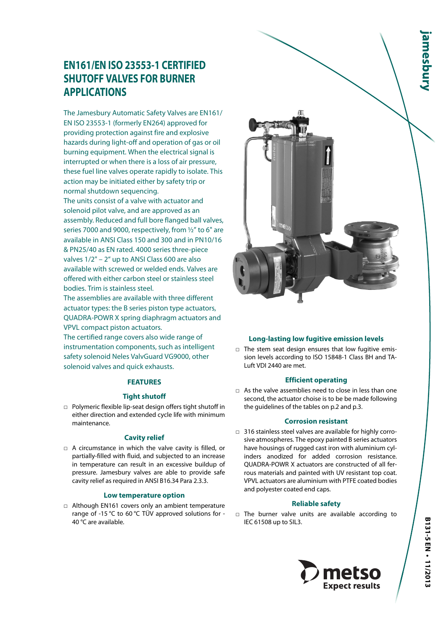# **EN161/EN ISO 23553-1 CERTIFIED SHUTOFF VALVES FOR BURNER APPLICATIONS**

The Jamesbury Automatic Safety Valves are EN161/ EN ISO 23553-1 (formerly EN264) approved for providing protection against fire and explosive hazards during light-off and operation of gas or oil burning equipment. When the electrical signal is interrupted or when there is a loss of air pressure, these fuel line valves operate rapidly to isolate. This action may be initiated either by safety trip or normal shutdown sequencing.

The units consist of a valve with actuator and solenoid pilot valve, and are approved as an assembly. Reduced and full bore flanged ball valves, series 7000 and 9000, respectively, from ½" to 6" are available in ANSI Class 150 and 300 and in PN10/16 & PN25/40 as EN rated. 4000 series three-piece valves 1/2" – 2" up to ANSI Class 600 are also available with screwed or welded ends. Valves are offered with either carbon steel or stainless steel bodies. Trim is stainless steel.

The assemblies are available with three different actuator types: the B series piston type actuators, QUADRA-POWR X spring diaphragm actuators and VPVL compact piston actuators.

The certified range covers also wide range of instrumentation components, such as intelligent safety solenoid Neles ValvGuard VG9000, other solenoid valves and quick exhausts.

# **FEATURES**

# **Tight shutoff**

□ Polymeric flexible lip-seat design offers tight shutoff in either direction and extended cycle life with minimum maintenance.

# **Cavity relief**

□ A circumstance in which the valve cavity is filled, or partially-filled with fluid, and subjected to an increase in temperature can result in an excessive buildup of pressure. Jamesbury valves are able to provide safe cavity relief as required in ANSI B16.34 Para 2.3.3.

## **Low temperature option**

□ Although EN161 covers only an ambient temperature range of -15 °C to 60 °C TÜV approved solutions for - 40 °C are available.



# **Long-lasting low fugitive emission levels**

□ The stem seat design ensures that low fugitive emission levels according to ISO 15848-1 Class BH and TA-Luft VDI 2440 are met.

#### **Efficient operating**

□ As the valve assemblies need to close in less than one second, the actuator choise is to be be made following the guidelines of the tables on p.2 and p.3.

## **Corrosion resistant**

□ 316 stainless steel valves are available for highly corrosive atmospheres. The epoxy painted B series actuators have housings of rugged cast iron with aluminium cylinders anodized for added corrosion resistance. QUADRA-POWR X actuators are constructed of all ferrous materials and painted with UV resistant top coat. VPVL actuators are aluminium with PTFE coated bodies and polyester coated end caps.

## **Reliable safety**

□ The burner valve units are available according to IEC 61508 up to SIL3.

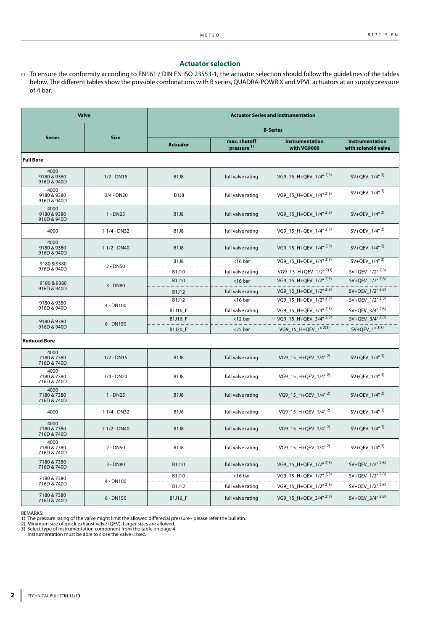## **Actuator selection**

□ To ensure the conformity according to EN161 / DIN EN ISO 23553-1, the actuator selection should follow the guidelines of the tables below. The different tables show the possible combinations with B series, QUADRA-POWR X and VPVL actuators at air supply pressure of 4 bar.

| <b>Valve</b>                       |                  | <b>Actuator Series and Instrumentation</b> |                                        |                                   |                                             |  |  |
|------------------------------------|------------------|--------------------------------------------|----------------------------------------|-----------------------------------|---------------------------------------------|--|--|
|                                    |                  | <b>B-Series</b>                            |                                        |                                   |                                             |  |  |
| <b>Series</b>                      | <b>Size</b>      | <b>Actuator</b>                            | max. shutoff<br>pressure <sup>1)</sup> | Instrumentation<br>with VG9000    | Instrumentation<br>with solenoid valve      |  |  |
| <b>Full Bore</b>                   |                  |                                            |                                        |                                   |                                             |  |  |
| 4000<br>9180 & 9380<br>916D & 940D | $1/2 - DN15$     | <b>B1J8</b>                                | full valve rating                      | VG9_15_H+QEV_1/4" <sup>2)3)</sup> | SV+QEV_1/4" 3)                              |  |  |
| 4000<br>9180 & 9380<br>916D & 940D | 3/4 - DN20       | <b>B1J8</b>                                | full valve rating                      | VG9_15_H+QEV_1/4" 2)3)            | SV+QEV $1/4$ <sup>" 3)</sup>                |  |  |
| 4000<br>9180 & 9380<br>916D & 940D | $1 - DN25$       | <b>B1J8</b>                                | full valve rating                      | VG9 15 H+OEV 1/4" 2)3)            | SV+OEV $1/4$ <sup>" 3)</sup>                |  |  |
| 4000                               | 1-1/4 - DN32     | <b>B1J8</b>                                | full valve rating                      | VG9_15_H+QEV_1/4" 2)3)            | SV+QEV_1/4" 3)                              |  |  |
| 4000<br>9180 & 9380<br>916D & 940D | $1 - 1/2 - DN40$ | <b>B1J8</b>                                | full valve rating                      | VG9 15 H+QEV 1/4" 2)3)            | SV+QEV $1/4$ <sup>" 3)</sup>                |  |  |
| 9180 & 9380                        |                  | <b>B1J8</b>                                | $<$ 16 bar                             | VG9_15_H+QEV_1/4" 2)3)            | $SV+QEV_1/4"$ <sup>3)</sup>                 |  |  |
| 916D & 940D                        | $2 - DNS0$       | B1J10                                      | full valve rating                      | VG9_15_H+QEV_1/2" 2)3)            | $SV+QEV_1/2"$ <sup>2)3)</sup>               |  |  |
| 9180 & 9380                        | 3 - DN80         | B1J10                                      | $<$ 16 bar                             | VG9_15_H+QEV_1/2" 2)3)            | SV+QEV_1/2" 2)3)                            |  |  |
| 916D & 940D                        |                  | B1J12                                      | full valve rating                      | VG9_15_H+QEV_1/2" 2)3)            | SV+QEV_1/2" 2)3)                            |  |  |
| 9180 & 9380                        | 4 - DN100        | B1J12                                      | $<$ 16 bar                             | VG9 15 H+OEV 1/2" 2)3)            | $SV+QEV_1/2''^{2/3}$                        |  |  |
| 916D & 940D                        |                  | B1J16_F                                    | full valve rating                      | VG9_15_H+QEV_3/4" 2)3)            | $SV+QEV_3/4''\overline{2})3)$               |  |  |
| 9180 & 9380                        | $6 - DN150$      | <b>B1J16 F</b>                             | $<$ 12 bar                             | VG9 15 H+QEV 3/4" 2)3)            | SV+QEV $3/4$ <sup>" 2)3)</sup>              |  |  |
| 916D & 940D                        |                  | B1J20_F                                    | $<$ 25 bar                             | VG9 15 H+QEV 1" 2)3)              | $SV+QEV_1''^{2(3)}$                         |  |  |
| <b>Reduced Bore</b>                |                  |                                            |                                        |                                   |                                             |  |  |
| 4000<br>7180 & 7380<br>716D & 740D | $1/2 - DN15$     | <b>B1J8</b>                                | full valve rating                      | VG9 15 H+QEV 1/4" <sup>2)</sup>   | SV+QEV $1/4$ <sup>" 3)</sup>                |  |  |
| 4000<br>7180 & 7380<br>716D & 740D | $3/4 - DN20$     | <b>B1J8</b>                                | full valve rating                      | VG9 15 H+QEV 1/4" 2)              | SV+QEV $1/4$ <sup>" 3)</sup>                |  |  |
| 4000<br>7180 & 7380<br>716D & 740D | $1 - DN25$       | <b>B1J8</b>                                | full valve rating                      | VG9_15_H+QEV_1/4" <sup>2)</sup>   | SV+QEV $1/4$ <sup>" 3)</sup>                |  |  |
| 4000                               | $1 - 1/4 - DN32$ | <b>B1J8</b>                                | full valve rating                      | VG9_15_H+QEV_1/4" 2)              | SV+OEV $1/4$ <sup>" 3)</sup>                |  |  |
| 4000<br>7180 & 7380<br>716D & 740D | $1 - 1/2 - DN40$ | <b>B1J8</b>                                | full valve rating                      | VG9 15 H+OEV 1/4" 2)              | SV+QEV $1/4$ <sup>" 3)</sup>                |  |  |
| 4000<br>7180 & 7380<br>716D & 740D | $2 - DN50$       | <b>B1J8</b>                                | full valve rating                      | VG9_15_H+QEV_1/4" 2)              | $SV+QEV_1/4"$ <sup>3)</sup>                 |  |  |
| 7180 & 7380<br>716D & 740D         | 3 - DN80         | B1J10                                      | full valve rating                      | VG9_15_H+QEV_1/2" 2)3)            | SV+QEV 1/2" 2)3)                            |  |  |
| 7180 & 7380                        |                  | B1J10                                      | $<$ 16 bar                             | VG9_15_H+QEV_1/2" 2)3)            | SV+QEV_1/2" 2)3)                            |  |  |
| 716D & 740D                        | 4 - DN100        | B1J12                                      | full valve rating                      | VG9_15_H+QEV_1/2" 2)3)            | $SV+QEV_1/2''$ <sup><math>2)3)</math></sup> |  |  |
| 7180 & 7380<br>716D & 740D         | 6 - DN150        | B1J16 F                                    | full valve rating                      | VG9_15_H+QEV_3/4" 2)3)            | SV+QEV_3/4" 2)3)                            |  |  |

REMARKS:

1) The pressure rating of the valve might limit the allowed differecial pressure - please refer the bulletin.<br>2) Minimum size of quick exhaust valve (QEV). Larger sizes are allowed.<br>3) Select type of instrumentation compon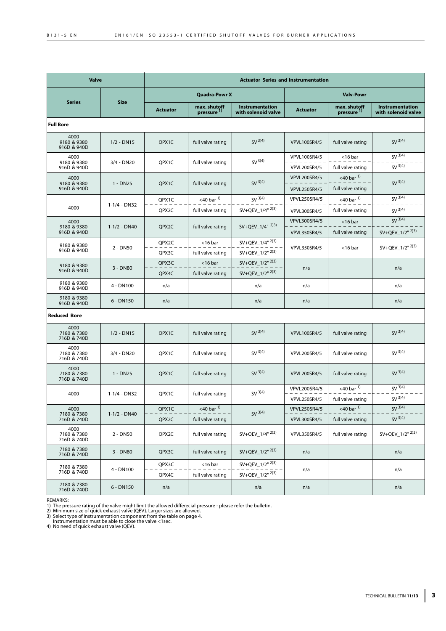| <b>Valve</b>                       |                  | <b>Actuator Series and Instrumentation</b> |                                         |                                                   |                                            |                                             |                                        |
|------------------------------------|------------------|--------------------------------------------|-----------------------------------------|---------------------------------------------------|--------------------------------------------|---------------------------------------------|----------------------------------------|
|                                    | <b>Size</b>      | <b>Quadra-Powr X</b>                       |                                         |                                                   | <b>Valv-Powr</b>                           |                                             |                                        |
| <b>Series</b>                      |                  | <b>Actuator</b>                            | max. shutoff<br>pressure 1)             | Instrumentation<br>with solenoid valve            | <b>Actuator</b>                            | max. shutoff<br>pressure <sup>1)</sup>      | Instrumentation<br>with solenoid valve |
| <b>Full Bore</b>                   |                  |                                            |                                         |                                                   |                                            |                                             |                                        |
| 4000<br>9180 & 9380<br>916D & 940D | $1/2 - DN15$     | QPX1C                                      | full valve rating                       | $SV^{3(4)}$                                       | <b>VPVL100SR4/5</b>                        | full valve rating                           | $SV^{(3)(4)}$                          |
| 4000<br>9180 & 9380<br>916D & 940D | $3/4 - DN20$     | QPX1C                                      | full valve rating                       | $SV^{3(4)}$                                       | <b>VPVL100SR4/5</b><br><b>VPVL200SR4/5</b> | $<$ 16 bar<br>full valve rating             | $SV^{3(4)}$<br>$SV^{(3)(4)}$           |
| 4000<br>9180 & 9380<br>916D & 940D | 1 - DN25         | QPX1C                                      | full valve rating                       | $SV^{(3)(4)}$                                     | <b>VPVL200SR4/5</b><br><b>VPVL250SR4/5</b> | $<$ 40 bar $^{1)}$<br>full valve rating     | $SV^{(3)(4)}$                          |
|                                    |                  | QPX1C                                      | $<$ 40 bar $^{1)}$                      | $SV^{(3)(4)}$                                     | <b>VPVL250SR4/5</b>                        | $<$ 40 bar $^{1)}$                          | SV <sup>3</sup> 3)4)                   |
| 4000                               | $1 - 1/4 - DN32$ | QPX2C                                      | full valve rating                       | $SV+QEV_1/4"$ <sup>2)3)</sup>                     | <b>VPVL300SR4/5</b>                        | full valve rating                           | $SV^{(3)}(4)$                          |
| 4000<br>9180 & 9380                | $1 - 1/2 - DN40$ | QPX <sub>2</sub> C                         | full valve rating                       | SV+QEV $1/4$ <sup>" 2)3)</sup>                    | <b>VPVL300SR4/5</b>                        | $<$ 16 bar                                  | $SV^{3(4)}$                            |
| 916D & 940D                        |                  |                                            |                                         |                                                   | <b>VPVL350SR4/5</b>                        | full valve rating                           | SV+QEV_1/2" 2)3)                       |
| 9180 & 9380<br>916D & 940D         | $2 - DNS0$       | QPX2C<br>QPX3C                             | $<$ 16 bar<br>full valve rating         | SV+QEV_1/4" 2)3)<br>SV+QEV_1/2" 2)3)              | <b>VPVL350SR4/5</b>                        | $<$ 16 bar                                  | SV+QEV 1/2" 2)3)                       |
| 9180 & 9380<br>916D & 940D         | 3 - DN80         | QPX3C<br>QPX4C                             | $<$ 16 bar<br>full valve rating         | SV+QEV 1/2" 2)3)<br>SV+QEV_1/2" 2)3)              | n/a                                        |                                             | n/a                                    |
| 9180 & 9380<br>916D & 940D         | 4 - DN100        | n/a                                        |                                         | n/a                                               | n/a                                        |                                             | n/a                                    |
| 9180 & 9380<br>916D & 940D         | $6 - DN150$      | n/a                                        |                                         | n/a                                               | n/a                                        |                                             | n/a                                    |
| <b>Reduced Bore</b>                |                  |                                            |                                         |                                                   |                                            |                                             |                                        |
| 4000<br>7180 & 7380<br>716D & 740D | $1/2 - DN15$     | QPX1C                                      | full valve rating                       | $SV^{(3)(4)}$                                     | <b>VPVL100SR4/5</b>                        | full valve rating                           | $SV^{(3)}(4)$                          |
| 4000<br>7180 & 7380<br>716D & 740D | $3/4 - DN20$     | QPX1C                                      | full valve rating                       | $SV^{(3)}(4)$                                     | <b>VPVL200SR4/5</b>                        | full valve rating                           | $SV^{(3)}(4)$                          |
| 4000<br>7180 & 7380<br>716D & 740D | 1 - DN25         | OPX1C                                      | full valve rating                       | $SV^{(3)(4)}$                                     | <b>VPVL200SR4/5</b>                        | full valve rating                           | $SV^{(3)(4)}$                          |
| 4000                               | 1-1/4 - DN32     | QPX1C                                      | full valve rating                       | $SV^{(3)}{}^{(4)}$                                | <b>VPVL200SR4/5</b><br><b>VPVL250SR4/5</b> | $<$ 40 bar $^{1)}$<br>full valve rating     | $SV^{(3)}{}^{(4)}$<br>$SV^{(3)}(4)$    |
| 4000<br>7180 & 7380<br>716D & 740D | $1-1/2 - DN40$   | QPX1C<br>QPX2C                             | $<$ 40 bar $^{1)}$<br>full valve rating | $SV^{(3)}(4)$                                     | VPVL250SR4/5<br><b>VPVL300SR4/5</b>        | <40 bar $\overline{1}$<br>full valve rating | $SV^{3(4)}$<br>$SV^{(3)}(4)$           |
| 4000<br>7180 & 7380<br>716D & 740D | $2 - DNS0$       | QPX2C                                      | full valve rating                       | SV+QEV 1/4" 2)3)                                  | <b>VPVL350SR4/5</b>                        | full valve rating                           | $SV+QEV_1/2^{n}$ 2)3)                  |
| 7180 & 7380<br>716D & 740D         | 3 - DN80         | QPX3C                                      | full valve rating                       | SV+QEV_1/2" 2)3)                                  | n/a                                        |                                             | n/a                                    |
| 7180 & 7380<br>716D & 740D         | 4 - DN100        | QPX3C<br>QPX4C                             | $<$ 16 bar<br>full valve rating         | SV+QEV_1/2" 2)3)<br>$SV+QEV_1/2"$ <sup>2)3)</sup> | n/a                                        |                                             | n/a                                    |
| 7180 & 7380<br>716D & 740D         | 6 - DN150        | n/a                                        |                                         | n/a                                               | n/a                                        |                                             | n/a                                    |

REMARKS:<br>1) The pressure rating of the valve might limit the allowed differecial pressure - please refer the bulletin.<br>2) Minimum size of quick exhaust valve (QEV). Larger sizes are allowed.<br>3) Select type of instrumentati